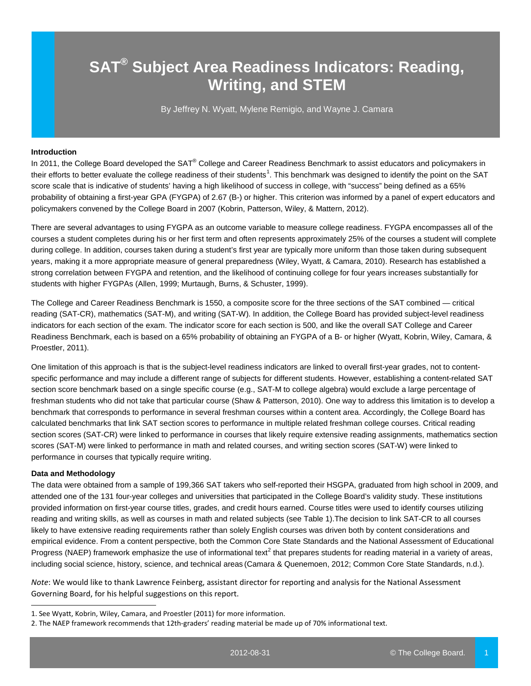# **SAT® Subject Area Readiness Indicators: Reading, Writing, and STEM**

By Jeffrey N. Wyatt, Mylene Remigio, and Wayne J. Camara

# **Introduction**

In 2011, the College Board developed the SAT<sup>®</sup> College and Career Readiness Benchmark to assist educators and policymakers in their efforts to better evaluate the college readiness of their students<sup>[1](#page-0-0)</sup>. This benchmark was designed to identify the point on the SAT score scale that is indicative of students' having a high likelihood of success in college, with "success" being defined as a 65% probability of obtaining a first-year GPA (FYGPA) of 2.67 (B-) or higher. This criterion was informed by a panel of expert educators and policymakers convened by the College Board in 2007 (Kobrin, Patterson, Wiley, & Mattern, 2012).

There are several advantages to using FYGPA as an outcome variable to measure college readiness. FYGPA encompasses all of the courses a student completes during his or her first term and often represents approximately 25% of the courses a student will complete during college. In addition, courses taken during a student's first year are typically more uniform than those taken during subsequent years, making it a more appropriate measure of general preparedness (Wiley, Wyatt, & Camara, 2010). Research has established a strong correlation between FYGPA and retention, and the likelihood of continuing college for four years increases substantially for students with higher FYGPAs (Allen, 1999; Murtaugh, Burns, & Schuster, 1999).

The College and Career Readiness Benchmark is 1550, a composite score for the three sections of the SAT combined — critical reading (SAT-CR), mathematics (SAT-M), and writing (SAT-W). In addition, the College Board has provided subject-level readiness indicators for each section of the exam. The indicator score for each section is 500, and like the overall SAT College and Career Readiness Benchmark, each is based on a 65% probability of obtaining an FYGPA of a B- or higher (Wyatt, Kobrin, Wiley, Camara, & Proestler, 2011).

One limitation of this approach is that is the subject-level readiness indicators are linked to overall first-year grades, not to contentspecific performance and may include a different range of subjects for different students. However, establishing a content-related SAT section score benchmark based on a single specific course (e.g., SAT-M to college algebra) would exclude a large percentage of freshman students who did not take that particular course (Shaw & Patterson, 2010). One way to address this limitation is to develop a benchmark that corresponds to performance in several freshman courses within a content area. Accordingly, the College Board has calculated benchmarks that link SAT section scores to performance in multiple related freshman college courses. Critical reading section scores (SAT-CR) were linked to performance in courses that likely require extensive reading assignments, mathematics section scores (SAT-M) were linked to performance in math and related courses, and writing section scores (SAT-W) were linked to performance in courses that typically require writing.

### **Data and Methodology**

j

The data were obtained from a sample of 199,366 SAT takers who self-reported their HSGPA, graduated from high school in 2009, and attended one of the 131 four-year colleges and universities that participated in the College Board's validity study. These institutions provided information on first-year course titles, grades, and credit hours earned. Course titles were used to identify courses utilizing reading and writing skills, as well as courses in math and related subjects (see Table 1).The decision to link SAT-CR to all courses likely to have extensive reading requirements rather than solely English courses was driven both by content considerations and empirical evidence. From a content perspective, both the Common Core State Standards and the National Assessment of Educational Progress (NAEP) framework emphasize the use of informational text<sup>[2](#page-0-1)</sup> that prepares students for reading material in a variety of areas, including social science, history, science, and technical areas (Camara & Quenemoen, 2012; Common Core State Standards, n.d.).

*Note*: We would like to thank Lawrence Feinberg, assistant director for reporting and analysis for the National Assessment Governing Board, for his helpful suggestions on this report.

<span id="page-0-0"></span><sup>1.</sup> See Wyatt, Kobrin, Wiley, Camara, and Proestler (2011) for more information.

<span id="page-0-1"></span><sup>2.</sup> The NAEP framework recommends that 12th-graders' reading material be made up of 70% informational text.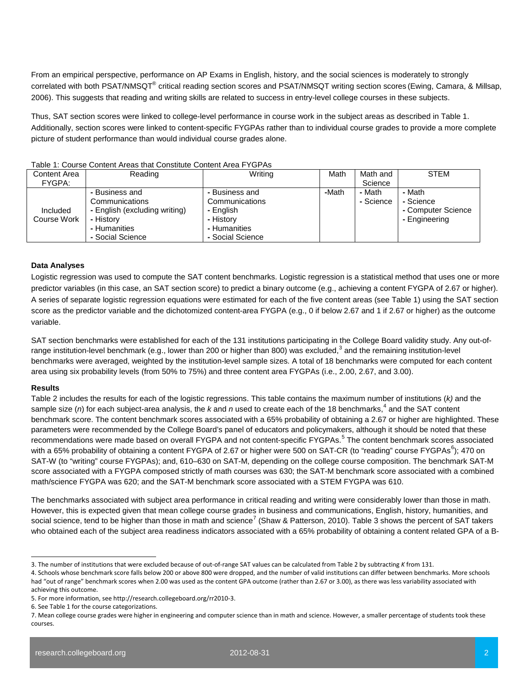From an empirical perspective, performance on AP Exams in English, history, and the social sciences is moderately to strongly correlated with both PSAT/NMSQT® critical reading section scores and PSAT/NMSQT writing section scores (Ewing, Camara, & Millsap, 2006). This suggests that reading and writing skills are related to success in entry-level college courses in these subjects.

Thus, SAT section scores were linked to college-level performance in course work in the subject areas as described in Table 1. Additionally, section scores were linked to content-specific FYGPAs rather than to individual course grades to provide a more complete picture of student performance than would individual course grades alone.

| iadio T. Ovuiso Ovinchi Algas tilat Oviistituto Ovinchi Alga i TOI As |                               |                  |       |           |                    |  |  |
|-----------------------------------------------------------------------|-------------------------------|------------------|-------|-----------|--------------------|--|--|
| Content Area                                                          | Reading                       | Writing          | Math  | Math and  | <b>STEM</b>        |  |  |
| FYGPA:                                                                |                               |                  |       | Science   |                    |  |  |
|                                                                       | - Business and                | - Business and   | -Math | - Math    | - Math             |  |  |
|                                                                       | Communications                | Communications   |       | - Science | - Science          |  |  |
| Included                                                              | - English (excluding writing) | - English        |       |           | - Computer Science |  |  |
| Course Work                                                           | - History                     | - History        |       |           | - Engineering      |  |  |
|                                                                       | - Humanities                  | - Humanities     |       |           |                    |  |  |
|                                                                       | - Social Science              | - Social Science |       |           |                    |  |  |

### Table 1: Course Content Areas that Constitute Content Area FYGPAs

## **Data Analyses**

Logistic regression was used to compute the SAT content benchmarks. Logistic regression is a statistical method that uses one or more predictor variables (in this case, an SAT section score) to predict a binary outcome (e.g., achieving a content FYGPA of 2.67 or higher). A series of separate logistic regression equations were estimated for each of the five content areas (see Table 1) using the SAT section score as the predictor variable and the dichotomized content-area FYGPA (e.g., 0 if below 2.67 and 1 if 2.67 or higher) as the outcome variable.

SAT section benchmarks were established for each of the 131 institutions participating in the College Board validity study. Any out-of-range institution-level benchmark (e.g., lower than 200 or higher than 800) was excluded,<sup>[3](#page-1-0)</sup> and the remaining institution-level benchmarks were averaged, weighted by the institution-level sample sizes. A total of 18 benchmarks were computed for each content area using six probability levels (from 50% to 75%) and three content area FYGPAs (i.e., 2.00, 2.67, and 3.00).

#### **Results**

Table 2 includes the results for each of the logistic regressions. This table contains the maximum number of institutions (*k)* and the sample size (*n*) for each subject-area analysis, the *k* and *n* used to create each of the 18 benchmarks, [4](#page-1-1) and the SAT content benchmark score. The content benchmark scores associated with a 65% probability of obtaining a 2.67 or higher are highlighted. These parameters were recommended by the College Board's panel of educators and policymakers, although it should be noted that these recommendations were made based on overall FYGPA and not content-specific FYGPAs.<sup>[5](#page-1-2)</sup> The content benchmark scores associated with a [6](#page-1-3)5% probability of obtaining a content FYGPA of 2.67 or higher were 500 on SAT-CR (to "reading" course FYGPAs<sup>6</sup>); 470 on SAT-W (to "writing" course FYGPAs); and, 610–630 on SAT-M, depending on the college course composition. The benchmark SAT-M score associated with a FYGPA composed strictly of math courses was 630; the SAT-M benchmark score associated with a combined math/science FYGPA was 620; and the SAT-M benchmark score associated with a STEM FYGPA was 610.

The benchmarks associated with subject area performance in critical reading and writing were considerably lower than those in math. However, this is expected given that mean college course grades in business and communications, English, history, humanities, and social science, tend to be higher than those in math and science<sup>[7](#page-1-4)</sup> (Shaw & Patterson, 2010). Table 3 shows the percent of SAT takers who obtained each of the subject area readiness indicators associated with a 65% probability of obtaining a content related GPA of a B-

<span id="page-1-0"></span>j 3. The number of institutions that were excluded because of out-of-range SAT values can be calculated from Table 2 by subtracting *K* from 131.

<span id="page-1-1"></span><sup>4.</sup> Schools whose benchmark score falls below 200 or above 800 were dropped, and the number of valid institutions can differ between benchmarks. More schools had "out of range" benchmark scores when 2.00 was used as the content GPA outcome (rather than 2.67 or 3.00), as there was less variability associated with achieving this outcome.

<span id="page-1-2"></span><sup>5.</sup> For more information, see http://research.collegeboard.org/rr2010-3.

<span id="page-1-3"></span><sup>6.</sup> See Table 1 for the course categorizations.

<span id="page-1-4"></span><sup>7.</sup> Mean college course grades were higher in engineering and computer science than in math and science. However, a smaller percentage of students took these courses.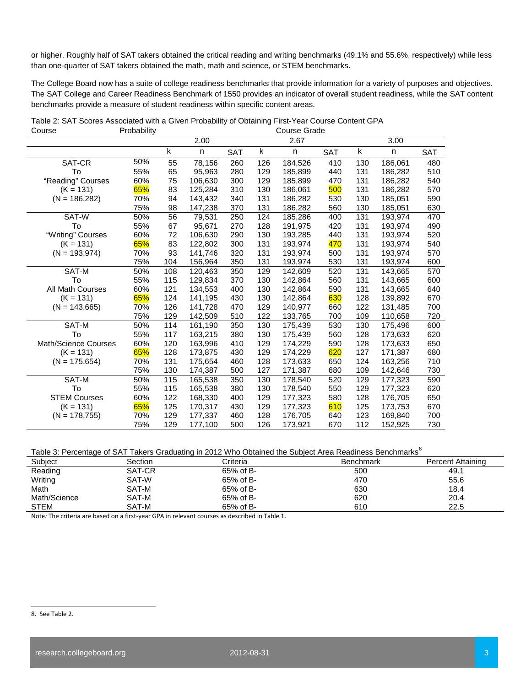or higher. Roughly half of SAT takers obtained the critical reading and writing benchmarks (49.1% and 55.6%, respectively) while less than one-quarter of SAT takers obtained the math, math and science, or STEM benchmarks.

The College Board now has a suite of college readiness benchmarks that provide information for a variety of purposes and objectives. The SAT College and Career Readiness Benchmark of 1550 provides an indicator of overall student readiness, while the SAT content benchmarks provide a measure of student readiness within specific content areas.

| Course               | Propability |     | Course Grade |            |     |         |            |     |         |            |
|----------------------|-------------|-----|--------------|------------|-----|---------|------------|-----|---------|------------|
|                      |             |     | 2.00         |            |     | 2.67    |            |     | 3.00    |            |
|                      |             | k   | n            | <b>SAT</b> | k   | n       | <b>SAT</b> | k   | n       | <b>SAT</b> |
| SAT-CR               | 50%         | 55  | 78,156       | 260        | 126 | 184,526 | 410        | 130 | 186,061 | 480        |
| To                   | 55%         | 65  | 95.963       | 280        | 129 | 185,899 | 440        | 131 | 186,282 | 510        |
| "Reading" Courses    | 60%         | 75  | 106,630      | 300        | 129 | 185,899 | 470        | 131 | 186,282 | 540        |
| $(K = 131)$          | 65%         | 83  | 125,284      | 310        | 130 | 186,061 | 500        | 131 | 186,282 | 570        |
| $(N = 186, 282)$     | 70%         | 94  | 143,432      | 340        | 131 | 186,282 | 530        | 130 | 185,051 | 590        |
|                      | 75%         | 98  | 147,238      | 370        | 131 | 186,282 | 560        | 130 | 185,051 | 630        |
| SAT-W                | 50%         | 56  | 79,531       | 250        | 124 | 185,286 | 400        | 131 | 193,974 | 470        |
| To                   | 55%         | 67  | 95,671       | 270        | 128 | 191,975 | 420        | 131 | 193,974 | 490        |
| "Writing" Courses    | 60%         | 72  | 106,630      | 290        | 130 | 193,285 | 440        | 131 | 193,974 | 520        |
| $(K = 131)$          | 65%         | 83  | 122.802      | 300        | 131 | 193,974 | 470        | 131 | 193.974 | 540        |
| $(N = 193,974)$      | 70%         | 93  | 141,746      | 320        | 131 | 193,974 | 500        | 131 | 193,974 | 570        |
|                      | 75%         | 104 | 156,964      | 350        | 131 | 193,974 | 530        | 131 | 193,974 | 600        |
| SAT-M                | 50%         | 108 | 120,463      | 350        | 129 | 142,609 | 520        | 131 | 143,665 | 570        |
| To                   | 55%         | 115 | 129,834      | 370        | 130 | 142,864 | 560        | 131 | 143,665 | 600        |
| All Math Courses     | 60%         | 121 | 134,553      | 400        | 130 | 142,864 | 590        | 131 | 143.665 | 640        |
| $(K = 131)$          | 65%         | 124 | 141,195      | 430        | 130 | 142,864 | 630        | 128 | 139,892 | 670        |
| $(N = 143,665)$      | 70%         | 126 | 141,728      | 470        | 129 | 140,977 | 660        | 122 | 131,485 | 700        |
|                      | 75%         | 129 | 142,509      | 510        | 122 | 133,765 | 700        | 109 | 110,658 | 720        |
| SAT-M                | 50%         | 114 | 161,190      | 350        | 130 | 175,439 | 530        | 130 | 175,496 | 600        |
| To                   | 55%         | 117 | 163,215      | 380        | 130 | 175,439 | 560        | 128 | 173,633 | 620        |
| Math/Science Courses | 60%         | 120 | 163,996      | 410        | 129 | 174,229 | 590        | 128 | 173.633 | 650        |
| $(K = 131)$          | 65%         | 128 | 173,875      | 430        | 129 | 174,229 | 620        | 127 | 171,387 | 680        |
| $(N = 175,654)$      | 70%         | 131 | 175,654      | 460        | 128 | 173,633 | 650        | 124 | 163,256 | 710        |
|                      | 75%         | 130 | 174,387      | 500        | 127 | 171,387 | 680        | 109 | 142,646 | 730        |
| SAT-M                | 50%         | 115 | 165,538      | 350        | 130 | 178,540 | 520        | 129 | 177.323 | 590        |
| To                   | 55%         | 115 | 165,538      | 380        | 130 | 178,540 | 550        | 129 | 177,323 | 620        |
| <b>STEM Courses</b>  | 60%         | 122 | 168,330      | 400        | 129 | 177,323 | 580        | 128 | 176,705 | 650        |
| $(K = 131)$          | 65%         | 125 | 170,317      | 430        | 129 | 177,323 | 610        | 125 | 173,753 | 670        |
| $(N = 178, 755)$     | 70%         | 129 | 177.337      | 460        | 128 | 176,705 | 640        | 123 | 169,840 | 700        |
|                      | 75%         | 129 | 177,100      | 500        | 126 | 173.921 | 670        | 112 | 152,925 | 730        |

Table 2: SAT Scores Associated with a Given Probability of Obtaining First-Year Course Content GPA<br>Course Crode Course **Course Course Course Course Grade** 

# Table 3: Percentage of SAT Takers Graduating in 2012 Who Obtained the Subject Area Readiness Benchmarks<sup>[8](#page-2-0)</sup>

| Subiect      | Section | Criteria  | <b>Benchmark</b> | Percent Attaining |
|--------------|---------|-----------|------------------|-------------------|
| Reading      | SAT-CR  | 65% of B- | 500              | 49.1              |
| Writing      | SAT-W   | 65% of B- | 470              | 55.6              |
| Math         | SAT-M   | 65% of B- | 630              | 18.4              |
| Math/Science | SAT-M   | 65% of B- | 620              | 20.4              |
| <b>STEM</b>  | SAT-M   | 65% of B- | 610              | 22.5              |

Note*:* The criteria are based on a first-year GPA in relevant courses as described in Table 1.

<span id="page-2-0"></span>j